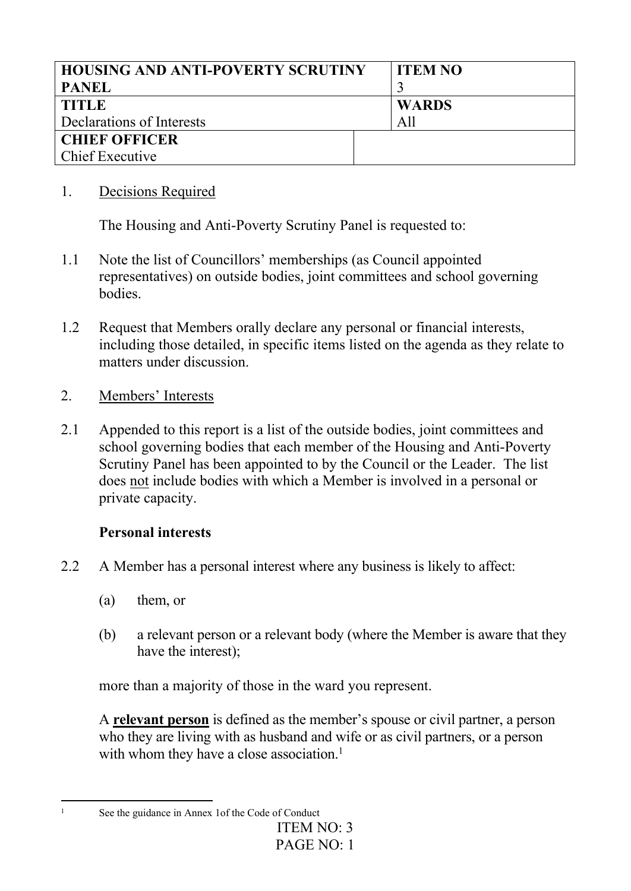| <b>HOUSING AND ANTI-POVERTY SCRUTINY</b> | <b>ITEM NO</b> |
|------------------------------------------|----------------|
| <b>PANEL</b>                             |                |
| <b>TITLE</b>                             | <b>WARDS</b>   |
| Declarations of Interests                | All            |
| <b>CHIEF OFFICER</b>                     |                |
| <b>Chief Executive</b>                   |                |

### 1. Decisions Required

The Housing and Anti-Poverty Scrutiny Panel is requested to:

- 1.1 Note the list of Councillors' memberships (as Council appointed representatives) on outside bodies, joint committees and school governing bodies.
- 1.2 Request that Members orally declare any personal or financial interests, including those detailed, in specific items listed on the agenda as they relate to matters under discussion.
- 2. Members' Interests
- 2.1 Appended to this report is a list of the outside bodies, joint committees and school governing bodies that each member of the Housing and Anti-Poverty Scrutiny Panel has been appointed to by the Council or the Leader. The list does not include bodies with which a Member is involved in a personal or private capacity.

## **Personal interests**

- 2.2 A Member has a personal interest where any business is likely to affect:
	- (a) them, or
	- (b) a relevant person or a relevant body (where the Member is aware that they have the interest);

more than a majority of those in the ward you represent.

A **relevant person** is defined as the member's spouse or civil partner, a person who they are living with as husband and wife or as civil partners, or a person with whom they have a close association.<sup>1</sup>

<sup>&</sup>lt;sup>1</sup> See the guidance in Annex 1 of the Code of Conduct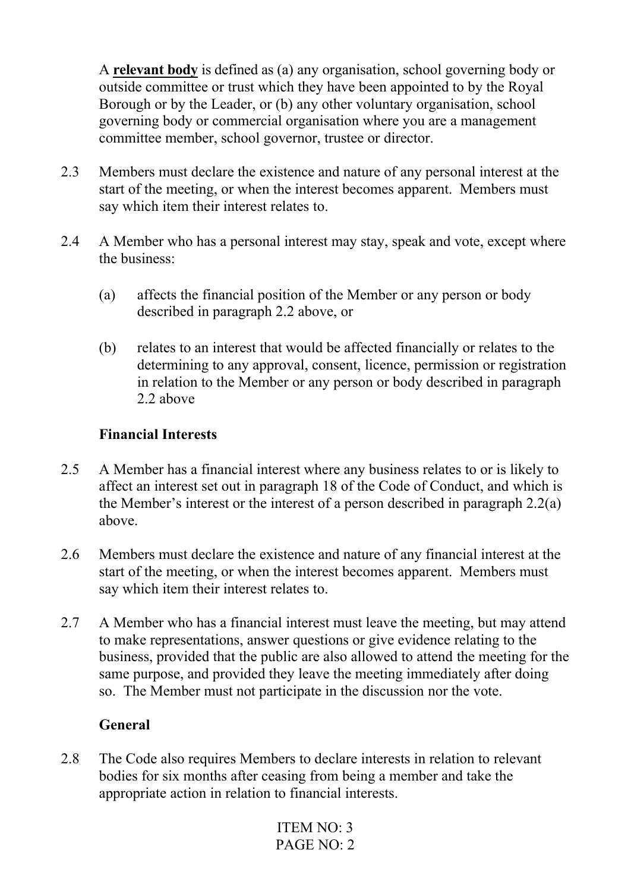A **relevant body** is defined as (a) any organisation, school governing body or outside committee or trust which they have been appointed to by the Royal Borough or by the Leader, or (b) any other voluntary organisation, school governing body or commercial organisation where you are a management committee member, school governor, trustee or director.

- 2.3 Members must declare the existence and nature of any personal interest at the start of the meeting, or when the interest becomes apparent. Members must say which item their interest relates to.
- 2.4 A Member who has a personal interest may stay, speak and vote, except where the business:
	- (a) affects the financial position of the Member or any person or body described in paragraph 2.2 above, or
	- (b) relates to an interest that would be affected financially or relates to the determining to any approval, consent, licence, permission or registration in relation to the Member or any person or body described in paragraph 2.2 above

### **Financial Interests**

- 2.5 A Member has a financial interest where any business relates to or is likely to affect an interest set out in paragraph 18 of the Code of Conduct, and which is the Member's interest or the interest of a person described in paragraph 2.2(a) above.
- 2.6 Members must declare the existence and nature of any financial interest at the start of the meeting, or when the interest becomes apparent. Members must say which item their interest relates to.
- 2.7 A Member who has a financial interest must leave the meeting, but may attend to make representations, answer questions or give evidence relating to the business, provided that the public are also allowed to attend the meeting for the same purpose, and provided they leave the meeting immediately after doing so. The Member must not participate in the discussion nor the vote.

#### **General**

2.8 The Code also requires Members to declare interests in relation to relevant bodies for six months after ceasing from being a member and take the appropriate action in relation to financial interests.

```
ITEM NO: 3
PAGE NO: 2
```